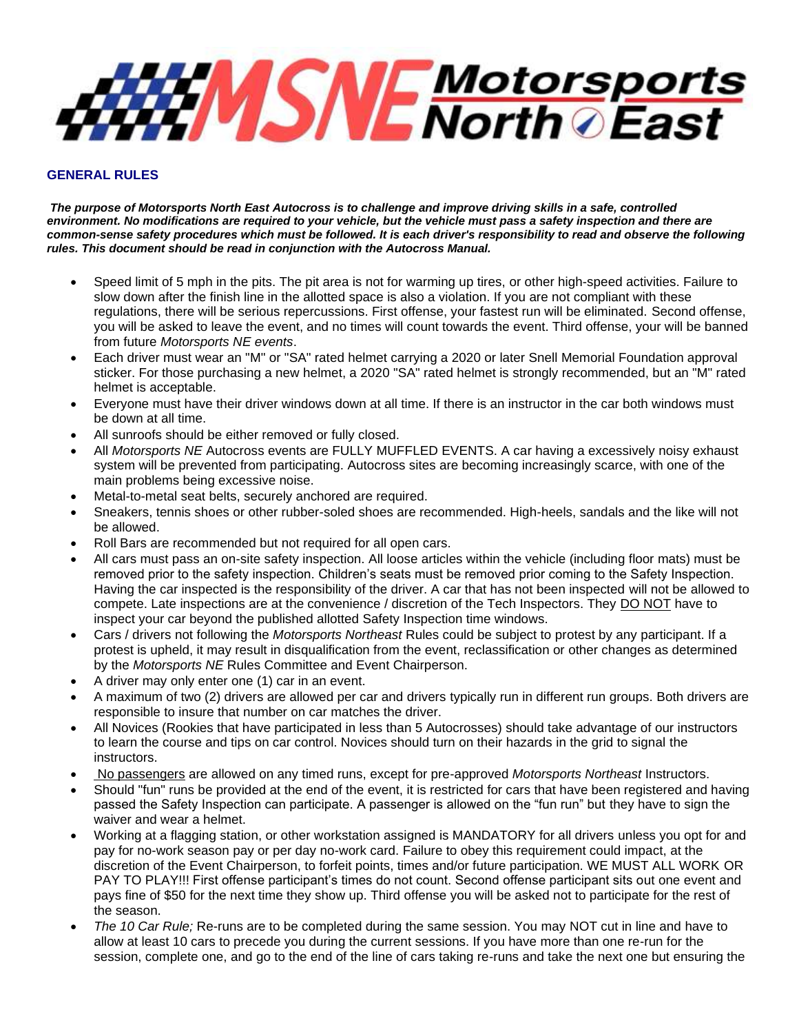

## **GENERAL RULES**

*The purpose of Motorsports North East Autocross is to challenge and improve driving skills in a safe, controlled environment. No modifications are required to your vehicle, but the vehicle must pass a safety inspection and there are common-sense safety procedures which must be followed. It is each driver's responsibility to read and observe the following rules. This document should be read in conjunction with the Autocross Manual.*

- Speed limit of 5 mph in the pits. The pit area is not for warming up tires, or other high-speed activities. Failure to slow down after the finish line in the allotted space is also a violation. If you are not compliant with these regulations, there will be serious repercussions. First offense, your fastest run will be eliminated. Second offense, you will be asked to leave the event, and no times will count towards the event. Third offense, your will be banned from future *Motorsports NE events*.
- Each driver must wear an "M" or "SA" rated helmet carrying a 2020 or later Snell Memorial Foundation approval sticker. For those purchasing a new helmet, a 2020 "SA" rated helmet is strongly recommended, but an "M" rated helmet is acceptable.
- Everyone must have their driver windows down at all time. If there is an instructor in the car both windows must be down at all time.
- All sunroofs should be either removed or fully closed.
- All *Motorsports NE* Autocross events are FULLY MUFFLED EVENTS. A car having a excessively noisy exhaust system will be prevented from participating. Autocross sites are becoming increasingly scarce, with one of the main problems being excessive noise.
- Metal-to-metal seat belts, securely anchored are required.
- Sneakers, tennis shoes or other rubber-soled shoes are recommended. High-heels, sandals and the like will not be allowed.
- Roll Bars are recommended but not required for all open cars.
- All cars must pass an on-site safety inspection. All loose articles within the vehicle (including floor mats) must be removed prior to the safety inspection. Children's seats must be removed prior coming to the Safety Inspection. Having the car inspected is the responsibility of the driver. A car that has not been inspected will not be allowed to compete. Late inspections are at the convenience / discretion of the Tech Inspectors. They DO NOT have to inspect your car beyond the published allotted Safety Inspection time windows.
- Cars / drivers not following the *Motorsports Northeast* Rules could be subject to protest by any participant. If a protest is upheld, it may result in disqualification from the event, reclassification or other changes as determined by the *Motorsports NE* Rules Committee and Event Chairperson.
- A driver may only enter one (1) car in an event.
- A maximum of two (2) drivers are allowed per car and drivers typically run in different run groups. Both drivers are responsible to insure that number on car matches the driver.
- All Novices (Rookies that have participated in less than 5 Autocrosses) should take advantage of our instructors to learn the course and tips on car control. Novices should turn on their hazards in the grid to signal the instructors.
- No passengers are allowed on any timed runs, except for pre-approved *Motorsports Northeast* Instructors.
- Should "fun" runs be provided at the end of the event, it is restricted for cars that have been registered and having passed the Safety Inspection can participate. A passenger is allowed on the "fun run" but they have to sign the waiver and wear a helmet.
- Working at a flagging station, or other workstation assigned is MANDATORY for all drivers unless you opt for and pay for no-work season pay or per day no-work card. Failure to obey this requirement could impact, at the discretion of the Event Chairperson, to forfeit points, times and/or future participation. WE MUST ALL WORK OR PAY TO PLAY!!! First offense participant's times do not count. Second offense participant sits out one event and pays fine of \$50 for the next time they show up. Third offense you will be asked not to participate for the rest of the season.
- *The 10 Car Rule;* Re-runs are to be completed during the same session. You may NOT cut in line and have to allow at least 10 cars to precede you during the current sessions. If you have more than one re-run for the session, complete one, and go to the end of the line of cars taking re-runs and take the next one but ensuring the